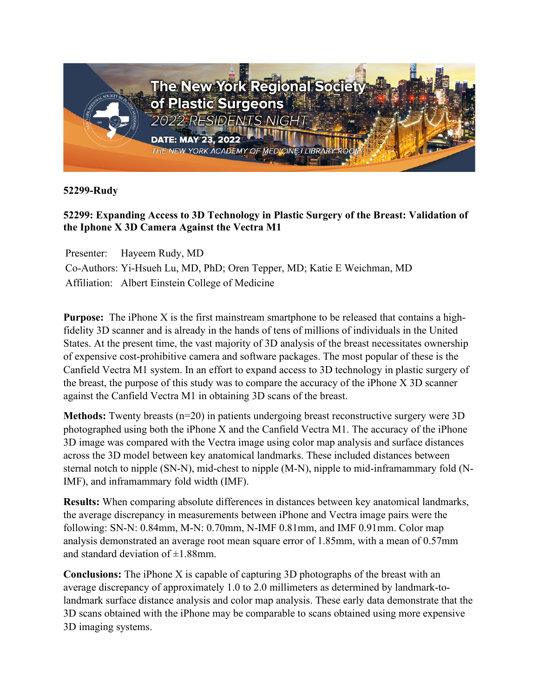

**52299-Rudy**

## **52299: Expanding Access to 3D Technology in Plastic Surgery of the Breast: Validation of the Iphone X 3D Camera Against the Vectra M1**

Presenter: Hayeem Rudy, MD

Co-Authors: Yi-Hsueh Lu, MD, PhD; Oren Tepper, MD; Katie E Weichman, MD Affiliation: Albert Einstein College of Medicine

**Purpose:** The iPhone X is the first mainstream smartphone to be released that contains a highfidelity 3D scanner and is already in the hands of tens of millions of individuals in the United States. At the present time, the vast majority of 3D analysis of the breast necessitates ownership of expensive cost-prohibitive camera and software packages. The most popular of these is the Canfield Vectra M1 system. In an effort to expand access to 3D technology in plastic surgery of the breast, the purpose of this study was to compare the accuracy of the iPhone X 3D scanner against the Canfield Vectra M1 in obtaining 3D scans of the breast.

**Methods:** Twenty breasts (n=20) in patients undergoing breast reconstructive surgery were 3D photographed using both the iPhone X and the Canfield Vectra M1. The accuracy of the iPhone 3D image was compared with the Vectra image using color map analysis and surface distances across the 3D model between key anatomical landmarks. These included distances between sternal notch to nipple (SN-N), mid-chest to nipple (M-N), nipple to mid-inframammary fold (N-IMF), and inframammary fold width (IMF).

**Results:** When comparing absolute differences in distances between key anatomical landmarks, the average discrepancy in measurements between iPhone and Vectra image pairs were the following: SN-N: 0.84mm, M-N: 0.70mm, N-IMF 0.81mm, and IMF 0.91mm. Color map analysis demonstrated an average root mean square error of 1.85mm, with a mean of 0.57mm and standard deviation of  $\pm 1.88$ mm.

**Conclusions:** The iPhone X is capable of capturing 3D photographs of the breast with an average discrepancy of approximately 1.0 to 2.0 millimeters as determined by landmark-tolandmark surface distance analysis and color map analysis. These early data demonstrate that the 3D scans obtained with the iPhone may be comparable to scans obtained using more expensive 3D imaging systems.